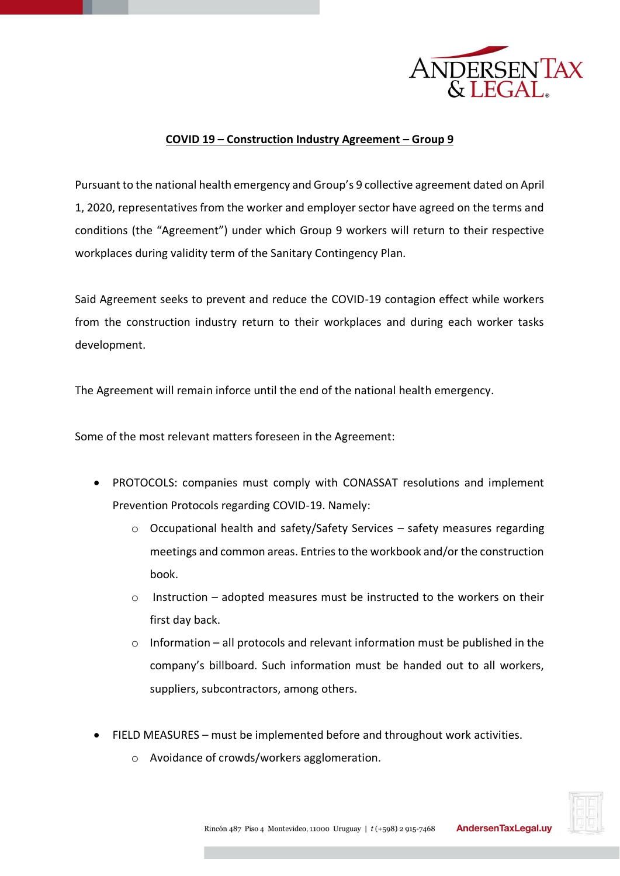

## **COVID 19 – Construction Industry Agreement – Group 9**

Pursuant to the national health emergency and Group's 9 collective agreement dated on April 1, 2020, representatives from the worker and employer sector have agreed on the terms and conditions (the "Agreement") under which Group 9 workers will return to their respective workplaces during validity term of the Sanitary Contingency Plan.

Said Agreement seeks to prevent and reduce the COVID-19 contagion effect while workers from the construction industry return to their workplaces and during each worker tasks development.

The Agreement will remain inforce until the end of the national health emergency.

Some of the most relevant matters foreseen in the Agreement:

- PROTOCOLS: companies must comply with CONASSAT resolutions and implement Prevention Protocols regarding COVID-19. Namely:
	- o Occupational health and safety/Safety Services safety measures regarding meetings and common areas. Entries to the workbook and/or the construction book.
	- $\circ$  Instruction adopted measures must be instructed to the workers on their first day back.
	- $\circ$  Information all protocols and relevant information must be published in the company's billboard. Such information must be handed out to all workers, suppliers, subcontractors, among others.
- FIELD MEASURES must be implemented before and throughout work activities.
	- o Avoidance of crowds/workers agglomeration.